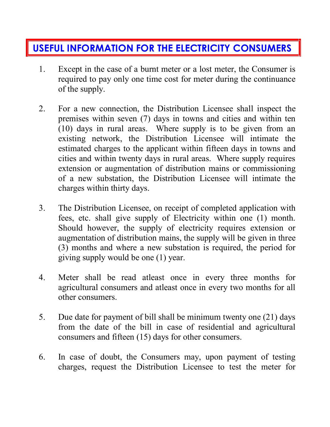## **USEFUL INFORMATION FOR THE ELECTRICITY CONSUMERS**

- 1. Except in the case of a burnt meter or a lost meter, the Consumer is required to pay only one time cost for meter during the continuance of the supply.
- 2. For a new connection, the Distribution Licensee shall inspect the premises within seven (7) days in towns and cities and within ten (10) days in rural areas. Where supply is to be given from an existing network, the Distribution Licensee will intimate the estimated charges to the applicant within fifteen days in towns and cities and within twenty days in rural areas. Where supply requires extension or augmentation of distribution mains or commissioning of a new substation, the Distribution Licensee will intimate the charges within thirty days.
- 3. The Distribution Licensee, on receipt of completed application with fees, etc. shall give supply of Electricity within one (1) month. Should however, the supply of electricity requires extension or augmentation of distribution mains, the supply will be given in three (3) months and where a new substation is required, the period for giving supply would be one (1) year.
- 4. Meter shall be read atleast once in every three months for agricultural consumers and atleast once in every two months for all other consumers.
- 5. Due date for payment of bill shall be minimum twenty one (21) days from the date of the bill in case of residential and agricultural consumers and fifteen (15) days for other consumers.
- 6. In case of doubt, the Consumers may, upon payment of testing charges, request the Distribution Licensee to test the meter for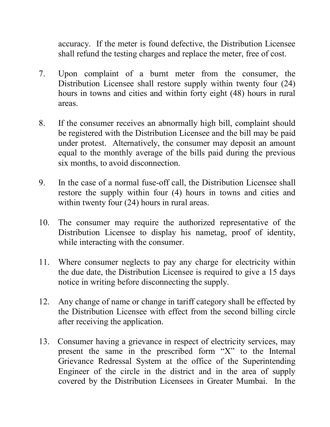accuracy. If the meter is found defective, the Distribution Licensee shall refund the testing charges and replace the meter, free of cost.

- 7. Upon complaint of a burnt meter from the consumer, the Distribution Licensee shall restore supply within twenty four (24) hours in towns and cities and within forty eight (48) hours in rural areas.
- 8. If the consumer receives an abnormally high bill, complaint should be registered with the Distribution Licensee and the bill may be paid under protest. Alternatively, the consumer may deposit an amount equal to the monthly average of the bills paid during the previous six months, to avoid disconnection.
- 9. In the case of a normal fuse-off call, the Distribution Licensee shall restore the supply within four (4) hours in towns and cities and within twenty four (24) hours in rural areas.
- 10. The consumer may require the authorized representative of the Distribution Licensee to display his nametag, proof of identity, while interacting with the consumer.
- 11. Where consumer neglects to pay any charge for electricity within the due date, the Distribution Licensee is required to give a 15 days notice in writing before disconnecting the supply.
- 12. Any change of name or change in tariff category shall be effected by the Distribution Licensee with effect from the second billing circle after receiving the application.
- 13. Consumer having a grievance in respect of electricity services, may present the same in the prescribed form "X" to the Internal Grievance Redressal System at the office of the Superintending Engineer of the circle in the district and in the area of supply covered by the Distribution Licensees in Greater Mumbai. In the